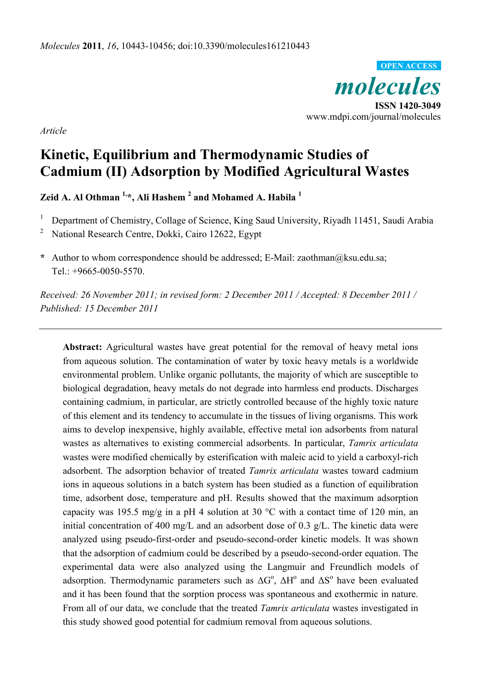

*Article*

# **Kinetic, Equilibrium and Thermodynamic Studies of Cadmium (II) Adsorption by Modified Agricultural Wastes**

**Zeid A. Al Othman 1,\*, Ali Hashem 2 and Mohamed A. Habila <sup>1</sup>**

1 Department of Chemistry, Collage of Science, King Saud University, Riyadh 11451, Saudi Arabia

2 National Research Centre, Dokki, Cairo 12622, Egypt

**\*** Author to whom correspondence should be addressed; E-Mail: zaothman@ksu.edu.sa; Tel.: +9665-0050-5570.

*Received: 26 November 2011; in revised form: 2 December 2011 / Accepted: 8 December 2011 / Published: 15 December 2011* 

**Abstract:** Agricultural wastes have great potential for the removal of heavy metal ions from aqueous solution. The contamination of water by toxic heavy metals is a worldwide environmental problem. Unlike organic pollutants, the majority of which are susceptible to biological degradation, heavy metals do not degrade into harmless end products. Discharges containing cadmium, in particular, are strictly controlled because of the highly toxic nature of this element and its tendency to accumulate in the tissues of living organisms. This work aims to develop inexpensive, highly available, effective metal ion adsorbents from natural wastes as alternatives to existing commercial adsorbents. In particular, *Tamrix articulata* wastes were modified chemically by esterification with maleic acid to yield a carboxyl-rich adsorbent. The adsorption behavior of treated *Tamrix articulata* wastes toward cadmium ions in aqueous solutions in a batch system has been studied as a function of equilibration time, adsorbent dose, temperature and pH. Results showed that the maximum adsorption capacity was 195.5 mg/g in a pH 4 solution at 30 °C with a contact time of 120 min, an initial concentration of 400 mg/L and an adsorbent dose of 0.3 g/L. The kinetic data were analyzed using pseudo-first-order and pseudo-second-order kinetic models. It was shown that the adsorption of cadmium could be described by a pseudo-second-order equation. The experimental data were also analyzed using the Langmuir and Freundlich models of adsorption. Thermodynamic parameters such as  $\Delta G^{\circ}$ ,  $\Delta H^{\circ}$  and  $\Delta S^{\circ}$  have been evaluated and it has been found that the sorption process was spontaneous and exothermic in nature. From all of our data, we conclude that the treated *Tamrix articulata* wastes investigated in this study showed good potential for cadmium removal from aqueous solutions.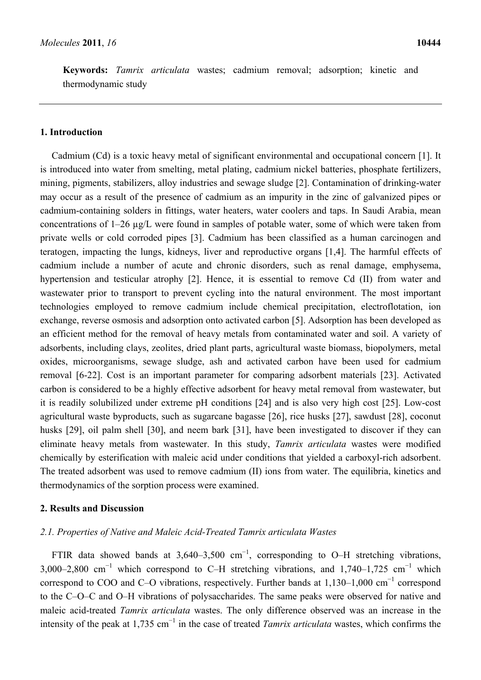**Keywords:** *Tamrix articulata* wastes; cadmium removal; adsorption; kinetic and thermodynamic study

# **1. Introduction**

Cadmium (Cd) is a toxic heavy metal of significant environmental and occupational concern [1]. It is introduced into water from smelting, metal plating, cadmium nickel batteries, phosphate fertilizers, mining, pigments, stabilizers, alloy industries and sewage sludge [2]. Contamination of drinking-water may occur as a result of the presence of cadmium as an impurity in the zinc of galvanized pipes or cadmium-containing solders in fittings, water heaters, water coolers and taps. In Saudi Arabia, mean concentrations of 1–26 µg/L were found in samples of potable water, some of which were taken from private wells or cold corroded pipes [3]. Cadmium has been classified as a human carcinogen and teratogen, impacting the lungs, kidneys, liver and reproductive organs [1,4]. The harmful effects of cadmium include a number of acute and chronic disorders, such as renal damage, emphysema, hypertension and testicular atrophy [2]. Hence, it is essential to remove Cd (II) from water and wastewater prior to transport to prevent cycling into the natural environment. The most important technologies employed to remove cadmium include chemical precipitation, electroflotation, ion exchange, reverse osmosis and adsorption onto activated carbon [5]. Adsorption has been developed as an efficient method for the removal of heavy metals from contaminated water and soil. A variety of adsorbents, including clays, zeolites, dried plant parts, agricultural waste biomass, biopolymers, metal oxides, microorganisms, sewage sludge, ash and activated carbon have been used for cadmium removal [6-22]. Cost is an important parameter for comparing adsorbent materials [23]. Activated carbon is considered to be a highly effective adsorbent for heavy metal removal from wastewater, but it is readily solubilized under extreme pH conditions [24] and is also very high cost [25]. Low-cost agricultural waste byproducts, such as sugarcane bagasse [26], rice husks [27], sawdust [28], coconut husks [29], oil palm shell [30], and neem bark [31], have been investigated to discover if they can eliminate heavy metals from wastewater. In this study, *Tamrix articulata* wastes were modified chemically by esterification with maleic acid under conditions that yielded a carboxyl-rich adsorbent. The treated adsorbent was used to remove cadmium (II) ions from water. The equilibria, kinetics and thermodynamics of the sorption process were examined.

# **2. Results and Discussion**

# *2.1. Properties of Native and Maleic Acid-Treated Tamrix articulata Wastes*

FTIR data showed bands at 3,640–3,500 cm<sup>-1</sup>, corresponding to O–H stretching vibrations, 3,000–2,800 cm<sup>-1</sup> which correspond to C–H stretching vibrations, and 1,740–1,725 cm<sup>-1</sup> which correspond to COO and C–O vibrations, respectively. Further bands at  $1,130-1,000$  cm<sup>-1</sup> correspond to the C–O–C and O–H vibrations of polysaccharides. The same peaks were observed for native and maleic acid-treated *Tamrix articulata* wastes. The only difference observed was an increase in the intensity of the peak at 1,735 cm<sup>−</sup><sup>1</sup> in the case of treated *Tamrix articulata* wastes, which confirms the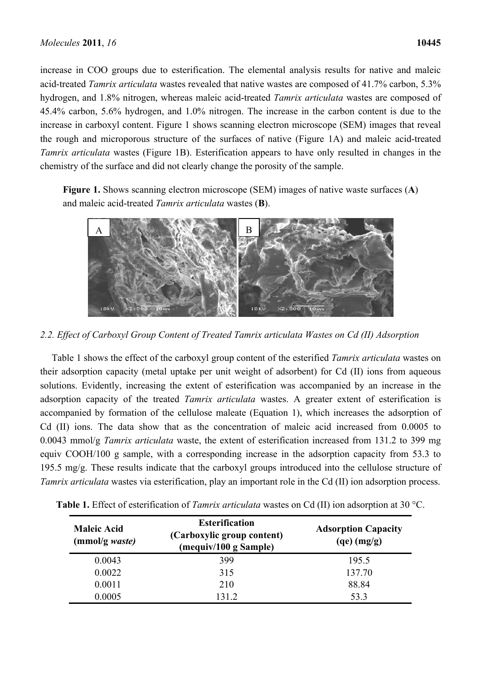increase in COO groups due to esterification. The elemental analysis results for native and maleic acid-treated *Tamrix articulata* wastes revealed that native wastes are composed of 41.7% carbon, 5.3% hydrogen, and 1.8% nitrogen, whereas maleic acid-treated *Tamrix articulata* wastes are composed of 45.4% carbon, 5.6% hydrogen, and 1.0% nitrogen. The increase in the carbon content is due to the increase in carboxyl content. Figure 1 shows scanning electron microscope (SEM) images that reveal the rough and microporous structure of the surfaces of native (Figure 1A) and maleic acid-treated *Tamrix articulata* wastes (Figure 1B). Esterification appears to have only resulted in changes in the chemistry of the surface and did not clearly change the porosity of the sample.

**Figure 1.** Shows scanning electron microscope (SEM) images of native waste surfaces (**A**) and maleic acid-treated *Tamrix articulata* wastes (**B**).



*2.2. Effect of Carboxyl Group Content of Treated Tamrix articulata Wastes on Cd (II) Adsorption* 

Table 1 shows the effect of the carboxyl group content of the esterified *Tamrix articulata* wastes on their adsorption capacity (metal uptake per unit weight of adsorbent) for Cd (II) ions from aqueous solutions. Evidently, increasing the extent of esterification was accompanied by an increase in the adsorption capacity of the treated *Tamrix articulata* wastes. A greater extent of esterification is accompanied by formation of the cellulose maleate (Equation 1), which increases the adsorption of Cd (II) ions. The data show that as the concentration of maleic acid increased from 0.0005 to 0.0043 mmol/g *Tamrix articulata* waste, the extent of esterification increased from 131.2 to 399 mg equiv COOH/100 g sample, with a corresponding increase in the adsorption capacity from 53.3 to 195.5 mg/g. These results indicate that the carboxyl groups introduced into the cellulose structure of *Tamrix articulata* wastes via esterification, play an important role in the Cd (II) ion adsorption process.

| <b>Maleic Acid</b><br>(mmol/g waste) | <b>Esterification</b><br>(Carboxylic group content)<br>(mequiv/100 g Sample) | <b>Adsorption Capacity</b><br>$(qe)$ (mg/g) |  |
|--------------------------------------|------------------------------------------------------------------------------|---------------------------------------------|--|
| 0.0043                               | 399                                                                          | 195.5                                       |  |
| 0.0022                               | 315                                                                          | 137.70                                      |  |
| 0.0011                               | 210                                                                          | 88.84                                       |  |
| 0.0005                               | 131.2                                                                        | 53.3                                        |  |

**Table 1.** Effect of esterification of *Tamrix articulata* wastes on Cd (II) ion adsorption at 30 °C.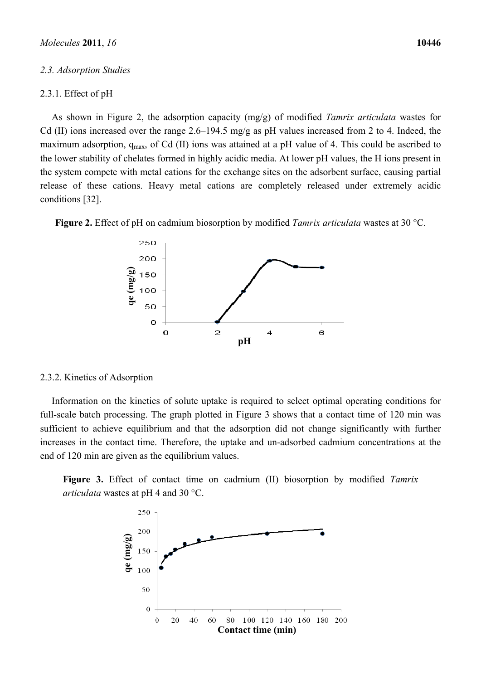#### *2.3. Adsorption Studies*

## 2.3.1. Effect of pH

As shown in Figure 2, the adsorption capacity (mg/g) of modified *Tamrix articulata* wastes for Cd (II) ions increased over the range 2.6–194.5 mg/g as pH values increased from 2 to 4. Indeed, the maximum adsorption,  $q_{max}$ , of Cd (II) ions was attained at a pH value of 4. This could be ascribed to the lower stability of chelates formed in highly acidic media. At lower pH values, the H ions present in the system compete with metal cations for the exchange sites on the adsorbent surface, causing partial release of these cations. Heavy metal cations are completely released under extremely acidic conditions [32].

**Figure 2.** Effect of pH on cadmium biosorption by modified *Tamrix articulata* wastes at 30 °C.



#### 2.3.2. Kinetics of Adsorption

Information on the kinetics of solute uptake is required to select optimal operating conditions for full-scale batch processing. The graph plotted in Figure 3 shows that a contact time of 120 min was sufficient to achieve equilibrium and that the adsorption did not change significantly with further increases in the contact time. Therefore, the uptake and un-adsorbed cadmium concentrations at the end of 120 min are given as the equilibrium values.

**Figure 3.** Effect of contact time on cadmium (II) biosorption by modified *Tamrix articulata* wastes at pH 4 and 30 °C.

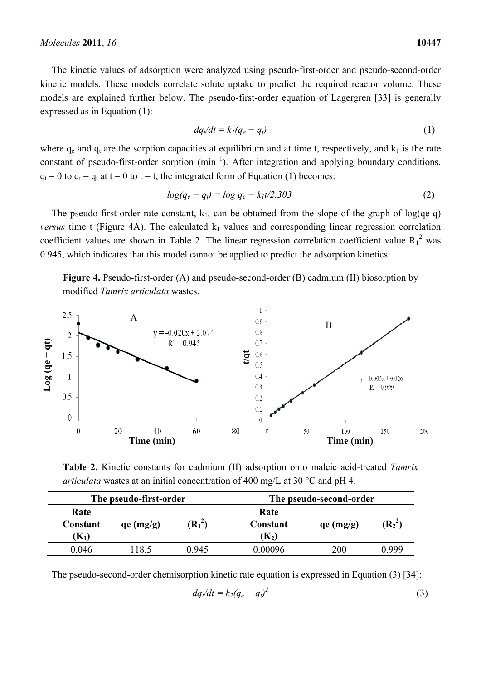The kinetic values of adsorption were analyzed using pseudo-first-order and pseudo-second-order kinetic models. These models correlate solute uptake to predict the required reactor volume. These models are explained further below. The pseudo-first-order equation of Lagergren [33] is generally expressed as in Equation (1):

$$
dq/dt = k_I(q_e - q_t) \tag{1}
$$

where  $q_e$  and  $q_t$  are the sorption capacities at equilibrium and at time t, respectively, and  $k_1$  is the rate constant of pseudo-first-order sorption  $(\text{min}^{-1})$ . After integration and applying boundary conditions,  $q_t = 0$  to  $q_t = q_t$  at  $t = 0$  to  $t = t$ , the integrated form of Equation (1) becomes:

$$
log(q_e - q_t) = log q_e - k_1 t/2.303
$$
\n<sup>(2)</sup>

The pseudo-first-order rate constant,  $k_1$ , can be obtained from the slope of the graph of log(qe-q) *versus* time t (Figure 4A). The calculated  $k_1$  values and corresponding linear regression correlation coefficient values are shown in Table 2. The linear regression correlation coefficient value  $R_1^2$  was 0.945, which indicates that this model cannot be applied to predict the adsorption kinetics.

**Figure 4.** Pseudo-first-order (A) and pseudo-second-order (B) cadmium (II) biosorption by modified *Tamrix articulata* wastes.



**Table 2.** Kinetic constants for cadmium (II) adsorption onto maleic acid-treated *Tamrix articulata* wastes at an initial concentration of 400 mg/L at 30 °C and pH 4.

| The pseudo-first-order             |           | The pseudo-second-order |                                                    |           |           |
|------------------------------------|-----------|-------------------------|----------------------------------------------------|-----------|-----------|
| Rate<br>Constant<br>$\mathbf{K}_1$ | qe (mg/g) | $(R_1^2)$               | Rate<br>Constant<br>$\left( \mathrm{K}_{2}\right)$ | qe (mg/g) | $(R_2^2)$ |
| 0.046                              | 18.5      | በ 945                   | 0.00096                                            | 200       | N 999     |

The pseudo-second-order chemisorption kinetic rate equation is expressed in Equation (3) [34]:

$$
dq/dt = k_2(q_e - q_v)^2 \tag{3}
$$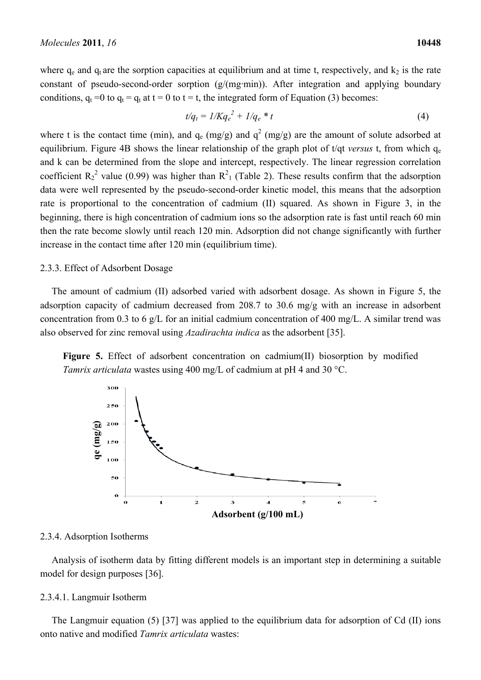where  $q_e$  and  $q_t$  are the sorption capacities at equilibrium and at time t, respectively, and  $k_2$  is the rate constant of pseudo-second-order sorption (g/(mg·min)). After integration and applying boundary conditions,  $q_t = 0$  to  $q_t = q_t$  at  $t = 0$  to  $t = t$ , the integrated form of Equation (3) becomes:

$$
t/q_t = 1/Kq_e^2 + 1/q_e * t \tag{4}
$$

where t is the contact time (min), and  $q_e$  (mg/g) and  $q^2$  (mg/g) are the amount of solute adsorbed at equilibrium. Figure 4B shows the linear relationship of the graph plot of  $t/dt$  *versus* t, from which  $q_e$ and k can be determined from the slope and intercept, respectively. The linear regression correlation coefficient  $R_2^2$  value (0.99) was higher than  $R_1^2$  (Table 2). These results confirm that the adsorption data were well represented by the pseudo-second-order kinetic model, this means that the adsorption rate is proportional to the concentration of cadmium (II) squared. As shown in Figure 3, in the beginning, there is high concentration of cadmium ions so the adsorption rate is fast until reach 60 min then the rate become slowly until reach 120 min. Adsorption did not change significantly with further increase in the contact time after 120 min (equilibrium time).

## 2.3.3. Effect of Adsorbent Dosage

The amount of cadmium (II) adsorbed varied with adsorbent dosage. As shown in Figure 5, the adsorption capacity of cadmium decreased from 208.7 to 30.6 mg/g with an increase in adsorbent concentration from 0.3 to 6 g/L for an initial cadmium concentration of 400 mg/L. A similar trend was also observed for zinc removal using *Azadirachta indica* as the adsorbent [35].

**Figure 5.** Effect of adsorbent concentration on cadmium(II) biosorption by modified *Tamrix articulata* wastes using 400 mg/L of cadmium at pH 4 and 30 °C.



## 2.3.4. Adsorption Isotherms

Analysis of isotherm data by fitting different models is an important step in determining a suitable model for design purposes [36].

#### 2.3.4.1. Langmuir Isotherm

The Langmuir equation (5) [37] was applied to the equilibrium data for adsorption of Cd (II) ions onto native and modified *Tamrix articulata* wastes: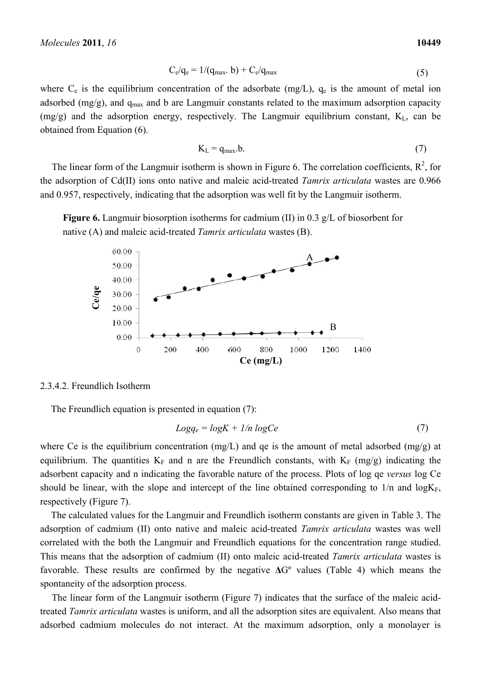$$
C_e/q_e = 1/(q_{\text{max}}. b) + C_e/q_{\text{max}} \tag{5}
$$

where  $C_e$  is the equilibrium concentration of the adsorbate (mg/L),  $q_e$  is the amount of metal ion adsorbed (mg/g), and  $q_{max}$  and b are Langmuir constants related to the maximum adsorption capacity  $(mg/g)$  and the adsorption energy, respectively. The Langmuir equilibrium constant,  $K<sub>L</sub>$ , can be obtained from Equation (6).

$$
K_{L} = q_{\text{max}}.b. \tag{7}
$$

The linear form of the Langmuir isotherm is shown in Figure 6. The correlation coefficients,  $R^2$ , for the adsorption of Cd(II) ions onto native and maleic acid-treated *Tamrix articulata* wastes are 0.966 and 0.957, respectively, indicating that the adsorption was well fit by the Langmuir isotherm.





# 2.3.4.2. Freundlich Isotherm

The Freundlich equation is presented in equation (7):

$$
Log q_e = log K + 1/n log Ce \tag{7}
$$

where Ce is the equilibrium concentration (mg/L) and qe is the amount of metal adsorbed (mg/g) at equilibrium. The quantities  $K_F$  and n are the Freundlich constants, with  $K_F$  (mg/g) indicating the adsorbent capacity and n indicating the favorable nature of the process. Plots of log qe *versus* log Ce should be linear, with the slope and intercept of the line obtained corresponding to  $1/n$  and  $log K_F$ , respectively (Figure 7).

The calculated values for the Langmuir and Freundlich isotherm constants are given in Table 3. The adsorption of cadmium (II) onto native and maleic acid-treated *Tamrix articulata* wastes was well correlated with the both the Langmuir and Freundlich equations for the concentration range studied. This means that the adsorption of cadmium (II) onto maleic acid-treated *Tamrix articulata* wastes is favorable. These results are confirmed by the negative **Δ**Gº values (Table 4) which means the spontaneity of the adsorption process. **Example 20.00**<br>
a do 0<br>  $1000$ <br>  $200$ <br>  $200$ <br>  $200$ <br>  $200$ <br>  $200$ <br>  $200$ <br>  $200$ <br>  $200$ <br>  $200$ <br>  $200$ <br>  $200$ <br>  $200$ <br>  $200$ <br>  $200$ <br>  $200$ <br>  $200$ <br>  $200$ <br>  $200$ <br>  $200$ <br>  $200$ <br>  $200$ <br>  $200$ <br>  $200$ <br>  $200$ <br>  $200$ <br>  $200$ <br>  $200$ <br>

The linear form of the Langmuir isotherm (Figure 7) indicates that the surface of the maleic acidtreated *Tamrix articulata* wastes is uniform, and all the adsorption sites are equivalent. Also means that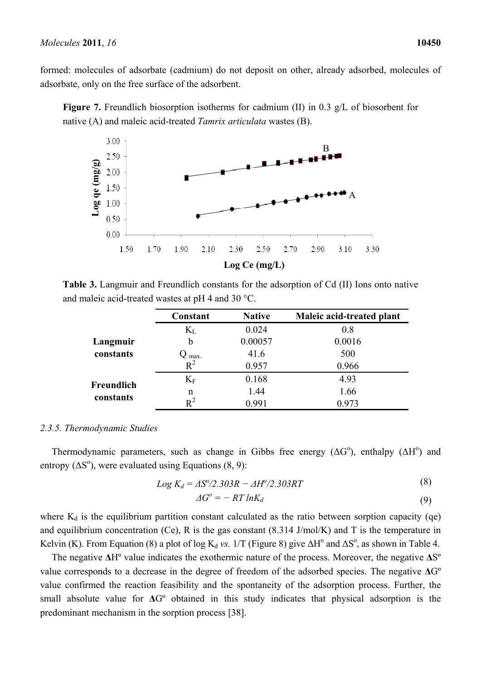formed: molecules of adsorbate (cadmium) do not deposit on other, already adsorbed, molecules of adsorbate, only on the free surface of the adsorbent.

**Figure 7.** Freundlich biosorption isotherms for cadmium (II) in 0.3 g/L of biosorbent for native (A) and maleic acid-treated *Tamrix articulata* wastes (B).



**Table 3.** Langmuir and Freundlich constants for the adsorption of Cd (II) Ions onto native and maleic acid-treated wastes at pH 4 and 30  $^{\circ}$ C.

|                         | Constant | <b>Native</b> | Maleic acid-treated plant |
|-------------------------|----------|---------------|---------------------------|
|                         | $K_{L}$  | 0.024         | 0.8                       |
| Langmuir                | b        | 0.00057       | 0.0016                    |
| constants               | max.     | 41.6          | 500                       |
|                         | $R^2$    | 0.957         | 0.966                     |
| Freundlich<br>constants | $K_F$    | 0.168         | 4.93                      |
|                         | n        | 1.44          | 1.66                      |
|                         | $R^2$    | 0.991         | 0.973                     |

## *2.3.5. Thermodynamic Studies*

Thermodynamic parameters, such as change in Gibbs free energy  $(\Delta G^{\circ})$ , enthalpy  $(\Delta H^{\circ})$  and entropy  $(\Delta S^{\circ})$ , were evaluated using Equations (8, 9):

$$
Log K_d = \Delta S^o / 2.303R - \Delta H^o / 2.303RT
$$
\n(8)

$$
\Delta G^o = -RT \ln K_d \tag{9}
$$

where  $K_d$  is the equilibrium partition constant calculated as the ratio between sorption capacity (qe) and equilibrium concentration (Ce), R is the gas constant  $(8.314 \text{ J/mol/K})$  and T is the temperature in Kelvin (K). From Equation (8) a plot of log  $K_d$  *vs.*  $1/T$  (Figure 8) give  $\Delta H^{\circ}$  and  $\Delta S^{\circ}$ , as shown in Table 4.

The negative **Δ**Hº value indicates the exothermic nature of the process. Moreover, the negative **Δ**Sº value corresponds to a decrease in the degree of freedom of the adsorbed species. The negative **Δ**Gº value confirmed the reaction feasibility and the spontaneity of the adsorption process. Further, the small absolute value for **Δ**Gº obtained in this study indicates that physical adsorption is the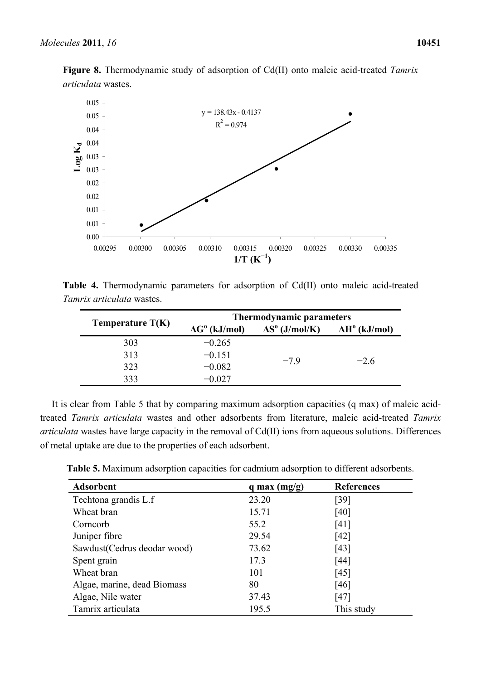

**Figure 8.** Thermodynamic study of adsorption of Cd(II) onto maleic acid-treated *Tamrix articulata* wastes.

**Table 4.** Thermodynamic parameters for adsorption of Cd(II) onto maleic acid-treated *Tamrix articulata* wastes.

|                    | <b>Thermodynamic parameters</b> |                                 |                       |
|--------------------|---------------------------------|---------------------------------|-----------------------|
| Temperature $T(K)$ | $\Delta G^{\text{o}}$ (kJ/mol)  | $\Delta S^{\text{o}}$ (J/mol/K) | $\Delta H^0$ (kJ/mol) |
| 303                | $-0.265$                        |                                 |                       |
| 313                | $-0.151$                        | $-79$                           | $-26$                 |
| 323                | $-0.082$                        |                                 |                       |
| 333                | $-0.027$                        |                                 |                       |

It is clear from Table 5 that by comparing maximum adsorption capacities (q max) of maleic acidtreated *Tamrix articulata* wastes and other adsorbents from literature, maleic acid-treated *Tamrix articulata* wastes have large capacity in the removal of Cd(II) ions from aqueous solutions. Differences of metal uptake are due to the properties of each adsorbent.

**Table 5.** Maximum adsorption capacities for cadmium adsorption to different adsorbents.

| $\frac{10g}{100}$ 0.03                                                                                                                                                                                                                                                                                                                                                                                                         |                                |                                      |                             |  |  |  |
|--------------------------------------------------------------------------------------------------------------------------------------------------------------------------------------------------------------------------------------------------------------------------------------------------------------------------------------------------------------------------------------------------------------------------------|--------------------------------|--------------------------------------|-----------------------------|--|--|--|
| 0.03                                                                                                                                                                                                                                                                                                                                                                                                                           |                                |                                      |                             |  |  |  |
| 0.02                                                                                                                                                                                                                                                                                                                                                                                                                           |                                |                                      |                             |  |  |  |
| 0.02                                                                                                                                                                                                                                                                                                                                                                                                                           |                                |                                      |                             |  |  |  |
| 0.01                                                                                                                                                                                                                                                                                                                                                                                                                           |                                |                                      |                             |  |  |  |
| 0.01                                                                                                                                                                                                                                                                                                                                                                                                                           |                                |                                      |                             |  |  |  |
| 0.00                                                                                                                                                                                                                                                                                                                                                                                                                           |                                |                                      |                             |  |  |  |
| 0.00295<br>0.00300                                                                                                                                                                                                                                                                                                                                                                                                             | 0.00305<br>0.00310<br>0.00315  | 0.00320<br>0.00325<br>$1/T (K^{-1})$ | 0.00330<br>0.00335          |  |  |  |
| able 4. Thermodynamic parameters for adsorption of Cd(II) onto maleic acid-treate<br>amrix articulata wastes.                                                                                                                                                                                                                                                                                                                  |                                |                                      |                             |  |  |  |
|                                                                                                                                                                                                                                                                                                                                                                                                                                |                                | <b>Thermodynamic parameters</b>      |                             |  |  |  |
| Temperature $T(K)$                                                                                                                                                                                                                                                                                                                                                                                                             | $\Delta G^{\text{o}}$ (kJ/mol) | $\Delta S^{\text{o}}$ (J/mol/K)      | $\Delta H^{\circ}$ (kJ/mol) |  |  |  |
| 303                                                                                                                                                                                                                                                                                                                                                                                                                            | $-0.265$                       |                                      |                             |  |  |  |
| 313                                                                                                                                                                                                                                                                                                                                                                                                                            | $-0.151$                       | $-7.9$                               | $-2.6$                      |  |  |  |
| 323                                                                                                                                                                                                                                                                                                                                                                                                                            | $-0.082$                       |                                      |                             |  |  |  |
| 333                                                                                                                                                                                                                                                                                                                                                                                                                            | $-0.027$                       |                                      |                             |  |  |  |
| clear from Table 5 that by comparing maximum adsorption capacities (q max) of male<br>Tamrix articulata wastes and other adsorbents from literature, maleic acid-treated<br><i>ata</i> wastes have large capacity in the removal of Cd(II) ions from aqueous solutions. Diff<br>I uptake are due to the properties of each adsorbent.<br>Table 5. Maximum adsorption capacities for cadmium adsorption to different adsorbents |                                |                                      |                             |  |  |  |
| <b>Adsorbent</b>                                                                                                                                                                                                                                                                                                                                                                                                               |                                | q max $(mg/g)$                       | <b>References</b>           |  |  |  |
| Techtona grandis L.f                                                                                                                                                                                                                                                                                                                                                                                                           |                                | 23.20                                | [39]                        |  |  |  |
| Wheat bran                                                                                                                                                                                                                                                                                                                                                                                                                     |                                | 15.71                                | [40]                        |  |  |  |
| Corncorb                                                                                                                                                                                                                                                                                                                                                                                                                       |                                | 55.2                                 | [41]                        |  |  |  |
| Juniper fibre                                                                                                                                                                                                                                                                                                                                                                                                                  |                                | 29.54                                | $[42]$                      |  |  |  |
| Sawdust(Cedrus deodar wood)                                                                                                                                                                                                                                                                                                                                                                                                    |                                | 73.62                                | [43]                        |  |  |  |
| Spent grain                                                                                                                                                                                                                                                                                                                                                                                                                    |                                | 17.3                                 | $[44]$                      |  |  |  |
| Wheat bran                                                                                                                                                                                                                                                                                                                                                                                                                     |                                | 101                                  | [45]                        |  |  |  |
| Algae, marine, dead Biomass                                                                                                                                                                                                                                                                                                                                                                                                    |                                | 80                                   | [46]                        |  |  |  |
| Algae, Nile water                                                                                                                                                                                                                                                                                                                                                                                                              |                                | 37.43                                | [47]                        |  |  |  |
| Tamrix articulata                                                                                                                                                                                                                                                                                                                                                                                                              |                                | 195.5                                | This study                  |  |  |  |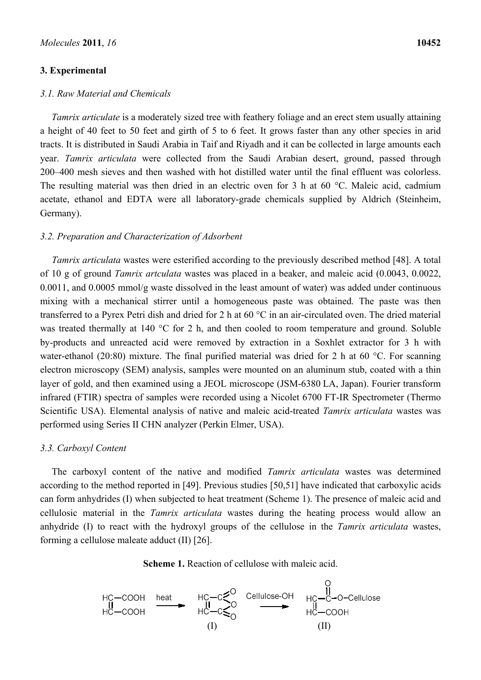## **3. Experimental**

## *3.1. Raw Material and Chemicals*

*Tamrix articulate* is a moderately sized tree with feathery foliage and an erect stem usually attaining a height of 40 feet to 50 feet and girth of 5 to 6 feet. It grows faster than any other species in arid tracts. It is distributed in Saudi Arabia in Taif and Riyadh and it can be collected in large amounts each year. *Tamrix articulata* were collected from the Saudi Arabian desert, ground, passed through 200–400 mesh sieves and then washed with hot distilled water until the final effluent was colorless. The resulting material was then dried in an electric oven for 3 h at 60 °C. Maleic acid, cadmium acetate, ethanol and EDTA were all laboratory-grade chemicals supplied by Aldrich (Steinheim, Germany).

## *3.2. Preparation and Characterization of Adsorbent*

*Tamrix articulata* wastes were esterified according to the previously described method [48]. A total of 10 g of ground *Tamrix artculata* wastes was placed in a beaker, and maleic acid (0.0043, 0.0022, 0.0011, and 0.0005 mmol/g waste dissolved in the least amount of water) was added under continuous mixing with a mechanical stirrer until a homogeneous paste was obtained. The paste was then transferred to a Pyrex Petri dish and dried for 2 h at 60 °C in an air-circulated oven. The dried material was treated thermally at 140 °C for 2 h, and then cooled to room temperature and ground. Soluble by-products and unreacted acid were removed by extraction in a Soxhlet extractor for 3 h with water-ethanol (20:80) mixture. The final purified material was dried for 2 h at 60 °C. For scanning electron microscopy (SEM) analysis, samples were mounted on an aluminum stub, coated with a thin layer of gold, and then examined using a JEOL microscope (JSM-6380 LA, Japan). Fourier transform infrared (FTIR) spectra of samples were recorded using a Nicolet 6700 FT-IR Spectrometer (Thermo Scientific USA). Elemental analysis of native and maleic acid-treated *Tamrix articulata* wastes was performed using Series II CHN analyzer (Perkin Elmer, USA).

## *3.3. Carboxyl Content*

The carboxyl content of the native and modified *Tamrix articulata* wastes was determined according to the method reported in [49]. Previous studies [50,51] have indicated that carboxylic acids can form anhydrides (I) when subjected to heat treatment (Scheme 1). The presence of maleic acid and cellulosic material in the *Tamrix articulata* wastes during the heating process would allow an anhydride (I) to react with the hydroxyl groups of the cellulose in the *Tamrix articulata* wastes, forming a cellulose maleate adduct (II) [26].



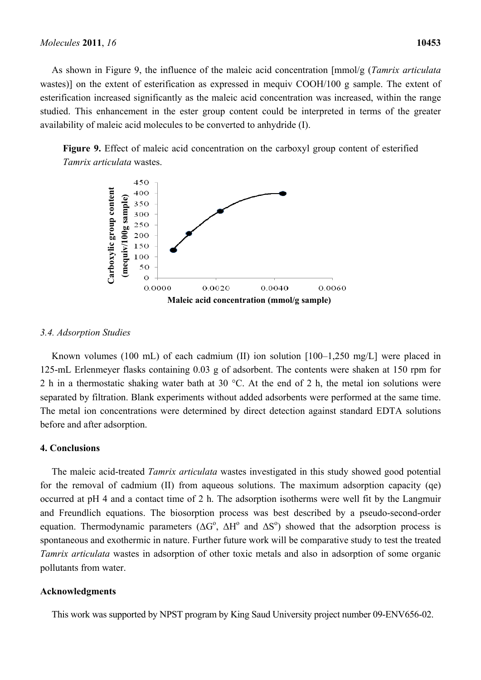As shown in Figure 9, the influence of the maleic acid concentration [mmol/g (*Tamrix articulata*  wastes)] on the extent of esterification as expressed in mequiv COOH/100 g sample. The extent of esterification increased significantly as the maleic acid concentration was increased, within the range studied. This enhancement in the ester group content could be interpreted in terms of the greater availability of maleic acid molecules to be converted to anhydride (I).





# *3.4. Adsorption Studies*

Known volumes (100 mL) of each cadmium (II) ion solution [100–1,250 mg/L] were placed in 125-mL Erlenmeyer flasks containing 0.03 g of adsorbent. The contents were shaken at 150 rpm for 2 h in a thermostatic shaking water bath at 30 °C. At the end of 2 h, the metal ion solutions were separated by filtration. Blank experiments without added adsorbents were performed at the same time. The metal ion concentrations were determined by direct detection against standard EDTA solutions before and after adsorption.

# **4. Conclusions**

The maleic acid-treated *Tamrix articulata* wastes investigated in this study showed good potential for the removal of cadmium (II) from aqueous solutions. The maximum adsorption capacity (qe) occurred at pH 4 and a contact time of 2 h. The adsorption isotherms were well fit by the Langmuir and Freundlich equations. The biosorption process was best described by a pseudo-second-order equation. Thermodynamic parameters ( $\Delta G^{\circ}$ ,  $\Delta H^{\circ}$  and  $\Delta S^{\circ}$ ) showed that the adsorption process is spontaneous and exothermic in nature. Further future work will be comparative study to test the treated *Tamrix articulata* wastes in adsorption of other toxic metals and also in adsorption of some organic pollutants from water.

# **Acknowledgments**

This work was supported by NPST program by King Saud University project number 09-ENV656-02.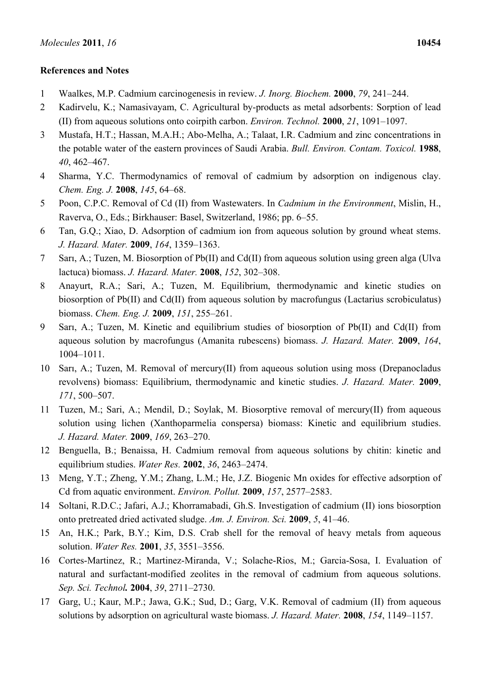# **References and Notes**

- 1 Waalkes, M.P. Cadmium carcinogenesis in review. *J. Inorg. Biochem.* **2000**, *79*, 241–244.
- 2 Kadirvelu, K.; Namasivayam, C. Agricultural by-products as metal adsorbents: Sorption of lead (II) from aqueous solutions onto coirpith carbon. *Environ. Technol.* **2000**, *21*, 1091–1097.
- 3 Mustafa, H.T.; Hassan, M.A.H.; Abo-Melha, A.; Talaat, I.R. Cadmium and zinc concentrations in the potable water of the eastern provinces of Saudi Arabia. *Bull. Environ. Contam. Toxicol.* **1988**, *40*, 462–467.
- 4 Sharma, Y.C. Thermodynamics of removal of cadmium by adsorption on indigenous clay. *Chem. Eng. J.* **2008**, *145*, 64–68.
- 5 Poon, C.P.C. Removal of Cd (II) from Wastewaters. In *Cadmium in the Environment*, Mislin, H., Raverva, O., Eds.; Birkhauser: Basel, Switzerland, 1986; pp. 6–55.
- 6 Tan, G.Q.; Xiao, D. Adsorption of cadmium ion from aqueous solution by ground wheat stems. *J. Hazard. Mater.* **2009**, *164*, 1359–1363.
- 7 Sarı, A.; Tuzen, M. Biosorption of Pb(II) and Cd(II) from aqueous solution using green alga (Ulva lactuca) biomass. *J. Hazard. Mater.* **2008**, *152*, 302–308.
- 8 Anayurt, R.A.; Sari, A.; Tuzen, M. Equilibrium, thermodynamic and kinetic studies on biosorption of Pb(II) and Cd(II) from aqueous solution by macrofungus (Lactarius scrobiculatus) biomass. *Chem. Eng. J.* **2009**, *151*, 255–261.
- 9 Sarı, A.; Tuzen, M. Kinetic and equilibrium studies of biosorption of Pb(II) and Cd(II) from aqueous solution by macrofungus (Amanita rubescens) biomass. *J. Hazard. Mater.* **2009**, *164*, 1004–1011.
- 10 Sarı, A.; Tuzen, M. Removal of mercury(II) from aqueous solution using moss (Drepanocladus revolvens) biomass: Equilibrium, thermodynamic and kinetic studies. *J. Hazard. Mater.* **2009**, *171*, 500–507.
- 11 Tuzen, M.; Sari, A.; Mendil, D.; Soylak, M. Biosorptive removal of mercury(II) from aqueous solution using lichen (Xanthoparmelia conspersa) biomass: Kinetic and equilibrium studies. *J. Hazard. Mater.* **2009**, *169*, 263–270.
- 12 Benguella, B.; Benaissa, H. Cadmium removal from aqueous solutions by chitin: kinetic and equilibrium studies. *Water Res.* **2002**, *36*, 2463–2474.
- 13 Meng, Y.T.; Zheng, Y.M.; Zhang, L.M.; He, J.Z. Biogenic Mn oxides for effective adsorption of Cd from aquatic environment. *Environ. Pollut.* **2009**, *157*, 2577–2583.
- 14 Soltani, R.D.C.; Jafari, A.J.; Khorramabadi, Gh.S. Investigation of cadmium (II) ions biosorption onto pretreated dried activated sludge. *Am. J. Environ. Sci.* **2009**, *5*, 41–46.
- 15 An, H.K.; Park, B.Y.; Kim, D.S. Crab shell for the removal of heavy metals from aqueous solution. *Water Res.* **2001**, *35*, 3551–3556.
- 16 Cortes-Martinez, R.; Martinez-Miranda, V.; Solache-Rios, M.; Garcia-Sosa, I. Evaluation of natural and surfactant-modified zeolites in the removal of cadmium from aqueous solutions. *Sep. Sci. Technol.* **2004**, *39*, 2711–2730.
- 17 Garg, U.; Kaur, M.P.; Jawa, G.K.; Sud, D.; Garg, V.K. Removal of cadmium (II) from aqueous solutions by adsorption on agricultural waste biomass. *J. Hazard. Mater.* **2008**, *154*, 1149–1157.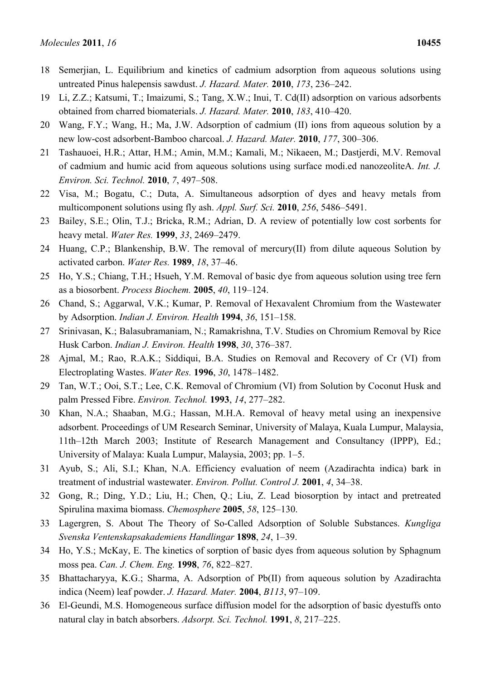- 18 Semerjian, L. Equilibrium and kinetics of cadmium adsorption from aqueous solutions using untreated Pinus halepensis sawdust. *J. Hazard. Mater.* **2010**, *173*, 236–242.
- 19 Li, Z.Z.; Katsumi, T.; Imaizumi, S.; Tang, X.W.; Inui, T. Cd(II) adsorption on various adsorbents obtained from charred biomaterials. *J. Hazard. Mater.* **2010**, *183*, 410–420.
- 20 Wang, F.Y.; Wang, H.; Ma, J.W. Adsorption of cadmium (II) ions from aqueous solution by a new low-cost adsorbent-Bamboo charcoal. *J. Hazard. Mater.* **2010**, *177*, 300–306.
- 21 Tashauoei, H.R.; Attar, H.M.; Amin, M.M.; Kamali, M.; Nikaeen, M.; Dastjerdi, M.V. Removal of cadmium and humic acid from aqueous solutions using surface modi.ed nanozeoliteA. *Int. J. Environ. Sci. Technol.* **2010**, *7*, 497–508.
- 22 Visa, M.; Bogatu, C.; Duta, A. Simultaneous adsorption of dyes and heavy metals from multicomponent solutions using fly ash. *Appl. Surf. Sci.* **2010**, *256*, 5486–5491.
- 23 Bailey, S.E.; Olin, T.J.; Bricka, R.M.; Adrian, D. A review of potentially low cost sorbents for heavy metal. *Water Res.* **1999**, *33*, 2469–2479.
- 24 Huang, C.P.; Blankenship, B.W. The removal of mercury(II) from dilute aqueous Solution by activated carbon. *Water Res.* **1989**, *18*, 37–46.
- 25 Ho, Y.S.; Chiang, T.H.; Hsueh, Y.M. Removal of basic dye from aqueous solution using tree fern as a biosorbent. *Process Biochem.* **2005**, *40*, 119–124.
- 26 Chand, S.; Aggarwal, V.K.; Kumar, P. Removal of Hexavalent Chromium from the Wastewater by Adsorption. *Indian J. Environ. Health* **1994**, *36*, 151–158.
- 27 Srinivasan, K.; Balasubramaniam, N.; Ramakrishna, T.V. Studies on Chromium Removal by Rice Husk Carbon. *Indian J. Environ. Health* **1998**, *30*, 376–387.
- 28 Ajmal, M.; Rao, R.A.K.; Siddiqui, B.A. Studies on Removal and Recovery of Cr (VI) from Electroplating Wastes. *Water Res.* **1996**, *30*, 1478–1482.
- 29 Tan, W.T.; Ooi, S.T.; Lee, C.K. Removal of Chromium (VI) from Solution by Coconut Husk and palm Pressed Fibre. *Environ. Technol.* **1993**, *14*, 277–282.
- 30 Khan, N.A.; Shaaban, M.G.; Hassan, M.H.A. Removal of heavy metal using an inexpensive adsorbent. Proceedings of UM Research Seminar, University of Malaya, Kuala Lumpur, Malaysia, 11th–12th March 2003; Institute of Research Management and Consultancy (IPPP), Ed.; University of Malaya: Kuala Lumpur, Malaysia, 2003; pp. 1–5.
- 31 Ayub, S.; Ali, S.I.; Khan, N.A. Efficiency evaluation of neem (Azadirachta indica) bark in treatment of industrial wastewater. *Environ. Pollut. Control J.* **2001**, *4*, 34–38.
- 32 Gong, R.; Ding, Y.D.; Liu, H.; Chen, Q.; Liu, Z. Lead biosorption by intact and pretreated Spirulina maxima biomass. *Chemosphere* **2005**, *58*, 125–130.
- 33 Lagergren, S. About The Theory of So-Called Adsorption of Soluble Substances. *Kungliga Svenska Ventenskapsakademiens Handlingar* **1898**, *24*, 1–39.
- 34 Ho, Y.S.; McKay, E. The kinetics of sorption of basic dyes from aqueous solution by Sphagnum moss pea. *Can. J. Chem. Eng.* **1998**, *76*, 822–827.
- 35 Bhattacharyya, K.G.; Sharma, A. Adsorption of Pb(II) from aqueous solution by Azadirachta indica (Neem) leaf powder. *J. Hazard. Mater.* **2004**, *B113*, 97–109.
- 36 El-Geundi, M.S. Homogeneous surface diffusion model for the adsorption of basic dyestuffs onto natural clay in batch absorbers. *Adsorpt. Sci. Technol.* **1991**, *8*, 217–225.